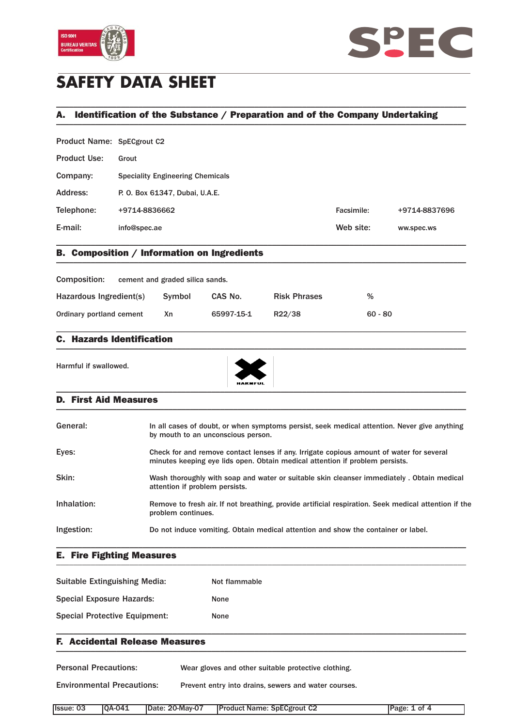



# **SAFETY DATA SHEET**

## A. Identification of the Substance / Preparation and of the Company Undertaking \_\_\_\_\_\_\_\_\_\_\_\_\_\_\_\_\_\_\_\_\_\_\_\_\_\_\_\_\_\_\_\_\_\_\_\_\_\_\_\_\_\_\_\_\_\_\_\_\_\_\_\_\_\_\_\_\_\_\_\_\_\_\_\_\_\_\_\_\_\_\_\_\_\_\_\_\_\_\_\_\_\_\_\_\_\_\_\_\_\_\_\_\_\_\_

\_\_\_\_\_\_\_\_\_\_\_\_\_\_\_\_\_\_\_\_\_\_\_\_\_\_\_\_\_\_\_\_\_\_\_\_\_\_\_\_\_\_\_\_\_\_\_\_\_\_\_\_\_\_\_\_\_\_\_\_\_\_\_\_\_\_\_\_\_\_\_\_\_\_\_\_\_\_\_\_\_\_\_\_\_\_\_\_\_\_\_\_\_\_\_

Product Name: SpECgrout C2

| <b>Product Use:</b> | Grout                                   |            |               |
|---------------------|-----------------------------------------|------------|---------------|
| Company:            | <b>Speciality Engineering Chemicals</b> |            |               |
| Address:            | P. O. Box 61347, Dubai, U.A.E.          |            |               |
| Telephone:          | +9714-8836662                           | Facsimile: | +9714-8837696 |
| E-mail:             | info@spec.ae                            | Web site:  | ww.spec.ws    |
|                     |                                         |            |               |

### B. Composition / Information on Ingredients \_\_\_\_\_\_\_\_\_\_\_\_\_\_\_\_\_\_\_\_\_\_\_\_\_\_\_\_\_\_\_\_\_\_\_\_\_\_\_\_\_\_\_\_\_\_\_\_\_\_\_\_\_\_\_\_\_\_\_\_\_\_\_\_\_\_\_\_\_\_\_\_\_\_\_\_\_\_\_\_\_\_\_\_\_\_\_\_\_\_\_\_\_\_\_

| Composition:             | cement and graded silica sands. |            |                     |           |
|--------------------------|---------------------------------|------------|---------------------|-----------|
| Hazardous Ingredient(s)  | Symbol                          | CAS No.    | <b>Risk Phrases</b> | $\%$      |
| Ordinary portland cement | Χn                              | 65997-15-1 | R22/38              | $60 - 80$ |

\_\_\_\_\_\_\_\_\_\_\_\_\_\_\_\_\_\_\_\_\_\_\_\_\_\_\_\_\_\_\_\_\_\_\_\_\_\_\_\_\_\_\_\_\_\_\_\_\_\_\_\_\_\_\_\_\_\_\_\_\_\_\_\_\_\_\_\_\_\_\_\_\_\_\_\_\_\_\_\_\_\_\_\_\_\_\_\_\_\_\_\_\_\_\_

### C. Hazards Identification  $\blacksquare$

Harmful if swallowed.



#### D. First Aid Measures \_\_\_\_\_\_\_\_\_\_\_\_\_\_\_\_\_\_\_\_\_\_\_\_\_\_\_\_\_\_\_\_\_\_\_\_\_\_\_\_\_\_\_\_\_\_\_\_\_\_\_\_\_\_\_\_\_\_\_\_\_\_\_\_\_\_\_\_\_\_\_\_\_\_\_\_\_\_\_\_\_\_\_\_\_\_\_\_\_\_\_\_\_\_\_

| In all cases of doubt, or when symptoms persist, seek medical attention. Never give anything<br>by mouth to an unconscious person.                                       |
|--------------------------------------------------------------------------------------------------------------------------------------------------------------------------|
| Check for and remove contact lenses if any. Irrigate copious amount of water for several<br>minutes keeping eye lids open. Obtain medical attention if problem persists. |
| Wash thoroughly with soap and water or suitable skin cleanser immediately. Obtain medical<br>attention if problem persists.                                              |
| Remove to fresh air. If not breathing, provide artificial respiration. Seek medical attention if the<br>problem continues.                                               |
| Do not induce vomiting. Obtain medical attention and show the container or label.                                                                                        |
|                                                                                                                                                                          |

#### E. Fire Fighting Measures \_\_\_\_\_\_\_\_\_\_\_\_\_\_\_\_\_\_\_\_\_\_\_\_\_\_\_\_\_\_\_\_\_\_\_\_\_\_\_\_\_\_\_\_\_\_\_\_\_\_\_\_\_\_\_\_\_\_\_\_\_\_\_\_\_\_\_\_\_\_\_\_\_\_\_\_\_\_\_\_\_\_\_\_\_\_\_\_\_\_\_\_\_\_\_

| Suitable Extinguishing Media:        | Not flammable |
|--------------------------------------|---------------|
| <b>Special Exposure Hazards:</b>     | None          |
| <b>Special Protective Equipment:</b> | None          |

### F. Accidental Release Measures  $\blacksquare$

Personal Precautions: Wear gloves and other suitable protective clothing.

Environmental Precautions: Prevent entry into drains, sewers and water courses.

| lssue: 03 | $IOA-041$ | Date: 20-May-07 | <b>Product Name: SpECgrout C2</b> | Page: 1 of 4 |
|-----------|-----------|-----------------|-----------------------------------|--------------|

\_\_\_\_\_\_\_\_\_\_\_\_\_\_\_\_\_\_\_\_\_\_\_\_\_\_\_\_\_\_\_\_\_\_\_\_\_\_\_\_\_\_\_\_\_\_\_\_\_\_\_\_\_\_\_\_\_\_\_\_\_\_\_\_\_\_\_\_\_\_\_\_\_\_\_\_\_\_\_\_\_\_\_\_\_\_\_\_\_\_\_\_\_\_\_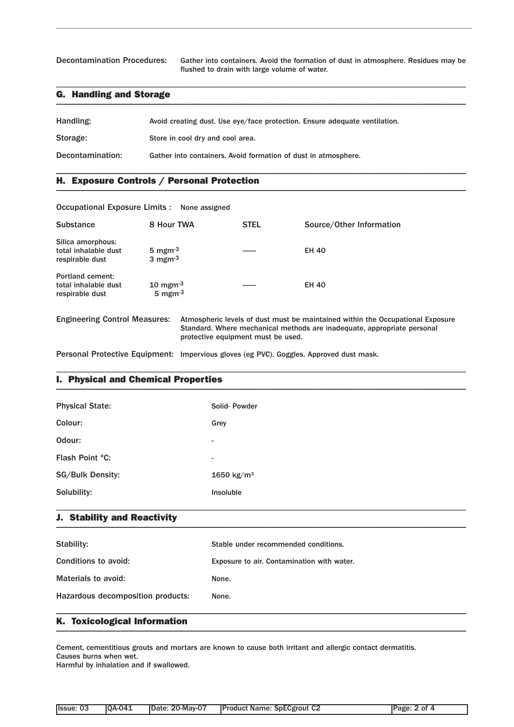Decontamination Procedures: Gather into containers. Avoid the formation of dust in atmosphere. Residues may be flushed to drain with large volume of water.

### G. Handling and Storage \_\_\_\_\_\_\_\_\_\_\_\_\_\_\_\_\_\_\_\_\_\_\_\_\_\_\_\_\_\_\_\_\_\_\_\_\_\_\_\_\_\_\_\_\_\_\_\_\_\_\_\_\_\_\_\_\_\_\_\_\_\_\_\_\_\_\_\_\_\_\_\_\_\_\_\_\_\_\_\_\_\_\_\_\_\_\_\_\_\_\_\_\_\_\_

| Handling:        | Avoid creating dust. Use eye/face protection. Ensure adequate ventilation. |
|------------------|----------------------------------------------------------------------------|
| Storage:         | Store in cool dry and cool area.                                           |
| Decontamination: | Gather into containers. Avoid formation of dust in atmosphere.             |

\_\_\_\_\_\_\_\_\_\_\_\_\_\_\_\_\_\_\_\_\_\_\_\_\_\_\_\_\_\_\_\_\_\_\_\_\_\_\_\_\_\_\_\_\_\_\_\_\_\_\_\_\_\_\_\_\_\_\_\_\_\_\_\_\_\_\_\_\_\_\_\_\_\_\_\_\_\_\_\_\_\_\_\_\_\_\_\_\_\_\_\_\_\_\_

\_\_\_\_\_\_\_\_\_\_\_\_\_\_\_\_\_\_\_\_\_\_\_\_\_\_\_\_\_\_\_\_\_\_\_\_\_\_\_\_\_\_\_\_\_\_\_\_\_\_\_\_\_\_\_\_\_\_\_\_\_\_\_\_\_\_\_\_\_\_\_\_\_\_\_\_\_\_\_\_\_\_\_\_\_\_\_\_\_\_\_\_\_\_\_

### H. Exposure Controls / Personal Protection \_\_\_\_\_\_\_\_\_\_\_\_\_\_\_\_\_\_\_\_\_\_\_\_\_\_\_\_\_\_\_\_\_\_\_\_\_\_\_\_\_\_\_\_\_\_\_\_\_\_\_\_\_\_\_\_\_\_\_\_\_\_\_\_\_\_\_\_\_\_\_\_\_\_\_\_\_\_\_\_\_\_\_\_\_\_\_\_\_\_\_\_\_\_\_

| Occupational Exposure Limits : None assigned                       |                                                               |                                    |                                                                                                                                                           |
|--------------------------------------------------------------------|---------------------------------------------------------------|------------------------------------|-----------------------------------------------------------------------------------------------------------------------------------------------------------|
| Substance                                                          | 8 Hour TWA                                                    | <b>STEL</b>                        | Source/Other Information                                                                                                                                  |
| Silica amorphous:<br>total inhalable dust<br>respirable dust       | 5 mgm $^{-3}$<br>3 mgm $^{-3}$                                |                                    | <b>EH 40</b>                                                                                                                                              |
| <b>Portland cement:</b><br>total inhalable dust<br>respirable dust | $10 \text{ mgm}$ <sup>3</sup><br>$5 \text{ mgm}$ <sup>3</sup> |                                    | <b>EH 40</b>                                                                                                                                              |
| <b>Engineering Control Measures:</b>                               |                                                               | protective equipment must be used. | Atmospheric levels of dust must be maintained within the Occupational Exposure<br>Standard. Where mechanical methods are inadequate, appropriate personal |

Personal Protective Equipment: Impervious gloves (eg PVC). Goggles. Approved dust mask.

### I. Physical and Chemical Properties \_\_\_\_\_\_\_\_\_\_\_\_\_\_\_\_\_\_\_\_\_\_\_\_\_\_\_\_\_\_\_\_\_\_\_\_\_\_\_\_\_\_\_\_\_\_\_\_\_\_\_\_\_\_\_\_\_\_\_\_\_\_\_\_\_\_\_\_\_\_\_\_\_\_\_\_\_\_\_\_\_\_\_\_\_\_\_\_\_\_\_\_\_\_\_

| <b>Physical State:</b>  | Solid-Powder             |
|-------------------------|--------------------------|
| Colour:                 | Grey                     |
| Odour:                  | $\overline{\phantom{a}}$ |
| Flash Point °C:         | $\overline{\phantom{a}}$ |
| <b>SG/Bulk Density:</b> | 1650 $kg/m^3$            |
| Solubility:             | Insoluble                |
|                         |                          |

\_\_\_\_\_\_\_\_\_\_\_\_\_\_\_\_\_\_\_\_\_\_\_\_\_\_\_\_\_\_\_\_\_\_\_\_\_\_\_\_\_\_\_\_\_\_\_\_\_\_\_\_\_\_\_\_\_\_\_\_\_\_\_\_\_\_\_\_\_\_\_\_\_\_\_\_\_\_\_\_\_\_\_\_\_\_\_\_\_\_\_\_\_\_\_

#### J. Stability and Reactivity  $\blacksquare$

| Stability:                        | Stable under recommended conditions.       |
|-----------------------------------|--------------------------------------------|
| Conditions to avoid:              | Exposure to air. Contamination with water. |
| Materials to avoid:               | None.                                      |
| Hazardous decomposition products: | None.                                      |
|                                   |                                            |

### K. Toxicological Information \_\_\_\_\_\_\_\_\_\_\_\_\_\_\_\_\_\_\_\_\_\_\_\_\_\_\_\_\_\_\_\_\_\_\_\_\_\_\_\_\_\_\_\_\_\_\_\_\_\_\_\_\_\_\_\_\_\_\_\_\_\_\_\_\_\_\_\_\_\_\_\_\_\_\_\_\_\_\_\_\_\_\_\_\_\_\_\_\_\_\_\_\_\_\_

Cement, cementitious grouts and mortars are known to cause both irritant and allergic contact dermatitis. Causes burns when wet.

Harmful by inhalation and if swallowed.

| Issue: 03 | <b>OA-041</b> | IDate: 20-Mav-07 | <b>Product Name: SpECgrout C2</b> | Page: 2 of 4 |
|-----------|---------------|------------------|-----------------------------------|--------------|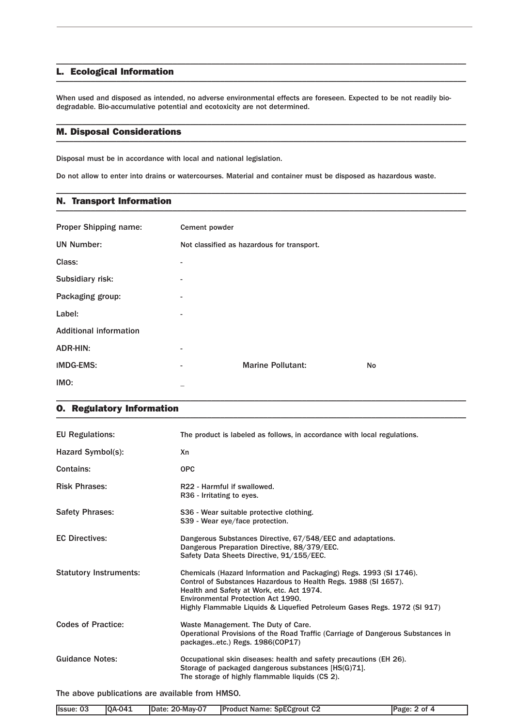#### L. Ecological Information \_\_\_\_\_\_\_\_\_\_\_\_\_\_\_\_\_\_\_\_\_\_\_\_\_\_\_\_\_\_\_\_\_\_\_\_\_\_\_\_\_\_\_\_\_\_\_\_\_\_\_\_\_\_\_\_\_\_\_\_\_\_\_\_\_\_\_\_\_\_\_\_\_\_\_\_\_\_\_\_\_\_\_\_\_\_\_\_\_\_\_\_\_\_\_

When used and disposed as intended, no adverse environmental effects are foreseen. Expected to be not readily biodegradable. Bio-accumulative potential and ecotoxicity are not determined.

\_\_\_\_\_\_\_\_\_\_\_\_\_\_\_\_\_\_\_\_\_\_\_\_\_\_\_\_\_\_\_\_\_\_\_\_\_\_\_\_\_\_\_\_\_\_\_\_\_\_\_\_\_\_\_\_\_\_\_\_\_\_\_\_\_\_\_\_\_\_\_\_\_\_\_\_\_\_\_\_\_\_\_\_\_\_\_\_\_\_\_\_\_\_\_

\_\_\_\_\_\_\_\_\_\_\_\_\_\_\_\_\_\_\_\_\_\_\_\_\_\_\_\_\_\_\_\_\_\_\_\_\_\_\_\_\_\_\_\_\_\_\_\_\_\_\_\_\_\_\_\_\_\_\_\_\_\_\_\_\_\_\_\_\_\_\_\_\_\_\_\_\_\_\_\_\_\_\_\_\_\_\_\_\_\_\_\_\_\_\_

\_\_\_\_\_\_\_\_\_\_\_\_\_\_\_\_\_\_\_\_\_\_\_\_\_\_\_\_\_\_\_\_\_\_\_\_\_\_\_\_\_\_\_\_\_\_\_\_\_\_\_\_\_\_\_\_\_\_\_\_\_\_\_\_\_\_\_\_\_\_\_\_\_\_\_\_\_\_\_\_\_\_\_\_\_\_\_\_\_\_\_\_\_\_\_

#### M. Disposal Considerations \_\_\_\_\_\_\_\_\_\_\_\_\_\_\_\_\_\_\_\_\_\_\_\_\_\_\_\_\_\_\_\_\_\_\_\_\_\_\_\_\_\_\_\_\_\_\_\_\_\_\_\_\_\_\_\_\_\_\_\_\_\_\_\_\_\_\_\_\_\_\_\_\_\_\_\_\_\_\_\_\_\_\_\_\_\_\_\_\_\_\_\_\_\_\_

Disposal must be in accordance with local and national legislation.

Do not allow to enter into drains or watercourses. Material and container must be disposed as hazardous waste.

### N. Transport Information \_\_\_\_\_\_\_\_\_\_\_\_\_\_\_\_\_\_\_\_\_\_\_\_\_\_\_\_\_\_\_\_\_\_\_\_\_\_\_\_\_\_\_\_\_\_\_\_\_\_\_\_\_\_\_\_\_\_\_\_\_\_\_\_\_\_\_\_\_\_\_\_\_\_\_\_\_\_\_\_\_\_\_\_\_\_\_\_\_\_\_\_\_\_\_

| <b>Proper Shipping name:</b>  | Cement powder            |                                            |    |
|-------------------------------|--------------------------|--------------------------------------------|----|
| <b>UN Number:</b>             |                          | Not classified as hazardous for transport. |    |
| Class:                        |                          |                                            |    |
| Subsidiary risk:              | $\overline{\phantom{a}}$ |                                            |    |
| Packaging group:              | $\overline{a}$           |                                            |    |
| Label:                        | ۰.                       |                                            |    |
| <b>Additional information</b> |                          |                                            |    |
| <b>ADR-HIN:</b>               | $\overline{a}$           |                                            |    |
| <b>IMDG-EMS:</b>              | -                        | <b>Marine Pollutant:</b>                   | No |
| IMO:                          |                          |                                            |    |

\_\_\_\_\_\_\_\_\_\_\_\_\_\_\_\_\_\_\_\_\_\_\_\_\_\_\_\_\_\_\_\_\_\_\_\_\_\_\_\_\_\_\_\_\_\_\_\_\_\_\_\_\_\_\_\_\_\_\_\_\_\_\_\_\_\_\_\_\_\_\_\_\_\_\_\_\_\_\_\_\_\_\_\_\_\_\_\_\_\_\_\_\_\_\_

### O. Regulatory Information \_\_\_\_\_\_\_\_\_\_\_\_\_\_\_\_\_\_\_\_\_\_\_\_\_\_\_\_\_\_\_\_\_\_\_\_\_\_\_\_\_\_\_\_\_\_\_\_\_\_\_\_\_\_\_\_\_\_\_\_\_\_\_\_\_\_\_\_\_\_\_\_\_\_\_\_\_\_\_\_\_\_\_\_\_\_\_\_\_\_\_\_\_\_\_

| <b>EU Regulations:</b>        | The product is labeled as follows, in accordance with local regulations.                                                                                                                                                                                                                             |
|-------------------------------|------------------------------------------------------------------------------------------------------------------------------------------------------------------------------------------------------------------------------------------------------------------------------------------------------|
| Hazard Symbol(s):             | Xn                                                                                                                                                                                                                                                                                                   |
| Contains:                     | <b>OPC</b>                                                                                                                                                                                                                                                                                           |
| <b>Risk Phrases:</b>          | R22 - Harmful if swallowed.<br>R36 - Irritating to eyes.                                                                                                                                                                                                                                             |
| <b>Safety Phrases:</b>        | S36 - Wear suitable protective clothing.<br>S39 - Wear eye/face protection.                                                                                                                                                                                                                          |
| <b>EC Directives:</b>         | Dangerous Substances Directive, 67/548/EEC and adaptations.<br>Dangerous Preparation Directive, 88/379/EEC.<br>Safety Data Sheets Directive, 91/155/EEC.                                                                                                                                             |
| <b>Statutory Instruments:</b> | Chemicals (Hazard Information and Packaging) Regs. 1993 (SI 1746).<br>Control of Substances Hazardous to Health Regs. 1988 (SI 1657).<br>Health and Safety at Work, etc. Act 1974.<br>Environmental Protection Act 1990.<br>Highly Flammable Liquids & Liquefied Petroleum Gases Regs. 1972 (SI 917) |
| <b>Codes of Practice:</b>     | Waste Management. The Duty of Care.<br>Operational Provisions of the Road Traffic (Carriage of Dangerous Substances in<br>packagesetc.) Regs. 1986(COP17)                                                                                                                                            |
| <b>Guidance Notes:</b>        | Occupational skin diseases: health and safety precautions (EH 26).<br>Storage of packaged dangerous substances [HS(G)71].<br>The storage of highly flammable liquids (CS 2).                                                                                                                         |

The above publications are available from HMSO.

| Ilssue: 03 | <b>IOA-041</b> | Date: 20-May-07 | <b>Product Name: SpECgrout C2</b> | Page: 2 of 4 |
|------------|----------------|-----------------|-----------------------------------|--------------|
|            |                |                 |                                   |              |